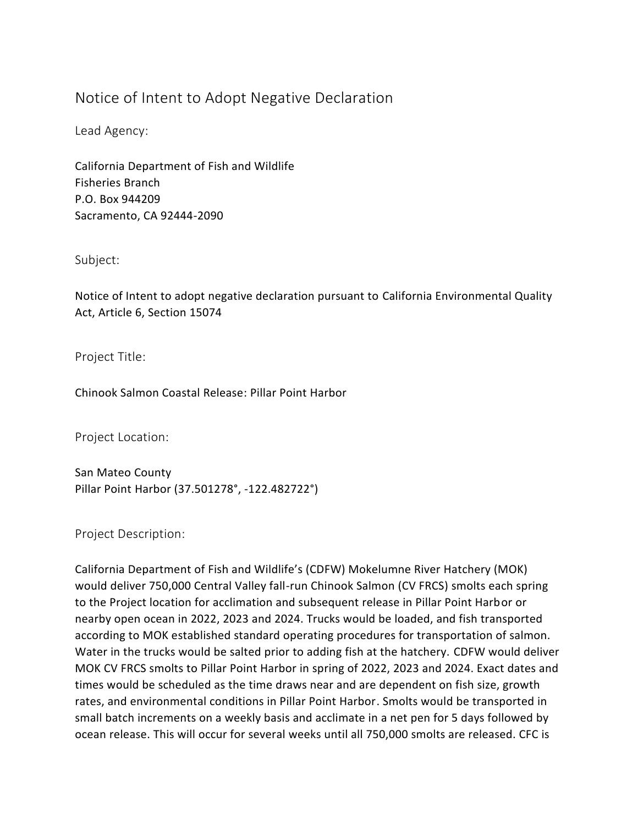## Notice of Intent to Adopt Negative Declaration

Lead Agency:

California Department of Fish and Wildlife Fisheries Branch P.O. Box 944209 Sacramento, CA 92444-2090

Subject:

Notice of Intent to adopt negative declaration pursuant to California Environmental Quality Act, Article 6, Section 15074

Project Title:

Chinook Salmon Coastal Release: Pillar Point Harbor

Project Location:

San Mateo County Pillar Point Harbor (37.501278°, -122.482722°)

Project Description:

California Department of Fish and Wildlife's (CDFW) Mokelumne River Hatchery (MOK) would deliver 750,000 Central Valley fall-run Chinook Salmon (CV FRCS) smolts each spring to the Project location for acclimation and subsequent release in Pillar Point Harbor or nearby open ocean in 2022, 2023 and 2024. Trucks would be loaded, and fish transported according to MOK established standard operating procedures for transportation of salmon. Water in the trucks would be salted prior to adding fish at the hatchery. CDFW would deliver MOK CV FRCS smolts to Pillar Point Harbor in spring of 2022, 2023 and 2024. Exact dates and times would be scheduled as the time draws near and are dependent on fish size, growth rates, and environmental conditions in Pillar Point Harbor. Smolts would be transported in small batch increments on a weekly basis and acclimate in a net pen for 5 days followed by ocean release. This will occur for several weeks until all 750,000 smolts are released. CFC is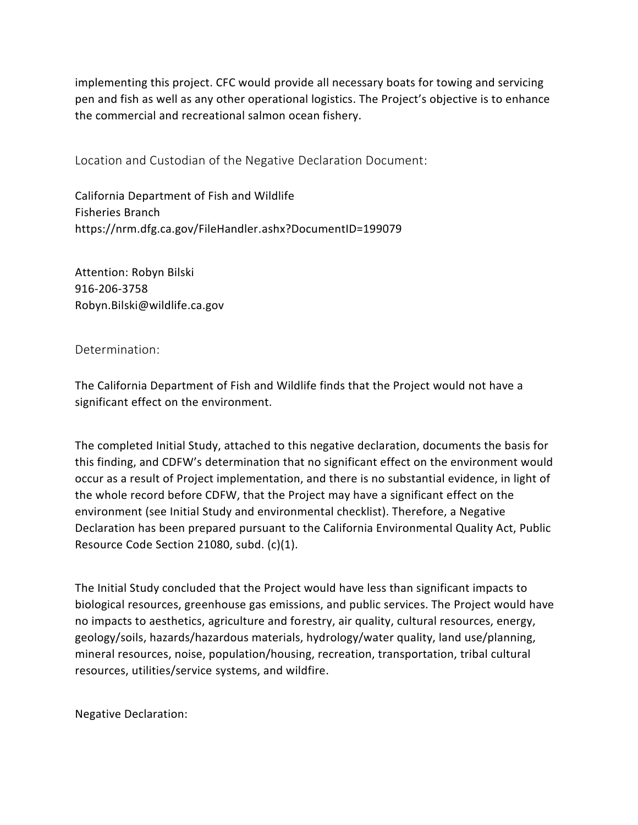implementing this project. CFC would provide all necessary boats for towing and servicing pen and fish as well as any other operational logistics. The Project's objective is to enhance the commercial and recreational salmon ocean fishery.

Location and Custodian of the Negative Declaration Document:

California Department of Fish and Wildlife Fisheries Branch https://nrm.dfg.ca.gov/FileHandler.ashx?DocumentID=199079

Attention: Robyn Bilski 916-206-3758 Robyn.Bilski@wildlife.ca.gov

## Determination:

The California Department of Fish and Wildlife finds that the Project would not have a significant effect on the environment.

The completed Initial Study, attached to this negative declaration, documents the basis for this finding, and CDFW's determination that no significant effect on the environment would occur as a result of Project implementation, and there is no substantial evidence, in light of the whole record before CDFW, that the Project may have a significant effect on the environment (see Initial Study and environmental checklist). Therefore, a Negative Declaration has been prepared pursuant to the California Environmental Quality Act, Public Resource Code Section 21080, subd. (c)(1).

The Initial Study concluded that the Project would have less than significant impacts to biological resources, greenhouse gas emissions, and public services. The Project would have no impacts to aesthetics, agriculture and forestry, air quality, cultural resources, energy, geology/soils, hazards/hazardous materials, hydrology/water quality, land use/planning, mineral resources, noise, population/housing, recreation, transportation, tribal cultural resources, utilities/service systems, and wildfire.

Negative Declaration: